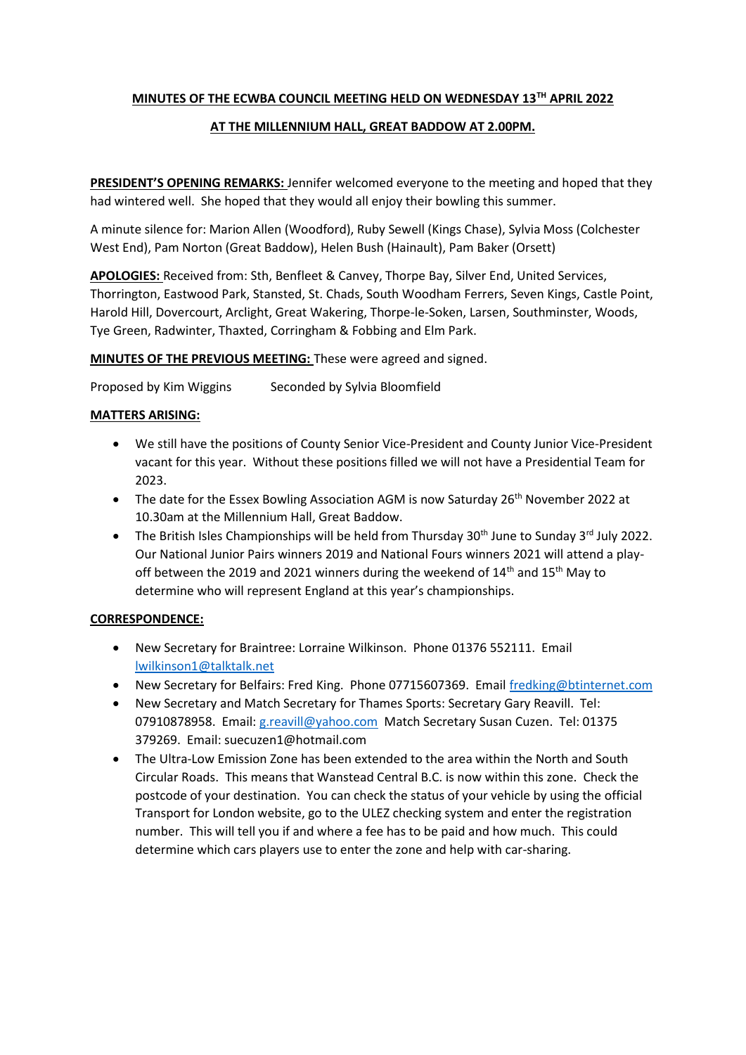# **MINUTES OF THE ECWBA COUNCIL MEETING HELD ON WEDNESDAY 13TH APRIL 2022**

# **AT THE MILLENNIUM HALL, GREAT BADDOW AT 2.00PM.**

**PRESIDENT'S OPENING REMARKS:** Jennifer welcomed everyone to the meeting and hoped that they had wintered well. She hoped that they would all enjoy their bowling this summer.

A minute silence for: Marion Allen (Woodford), Ruby Sewell (Kings Chase), Sylvia Moss (Colchester West End), Pam Norton (Great Baddow), Helen Bush (Hainault), Pam Baker (Orsett)

**APOLOGIES:** Received from: Sth, Benfleet & Canvey, Thorpe Bay, Silver End, United Services, Thorrington, Eastwood Park, Stansted, St. Chads, South Woodham Ferrers, Seven Kings, Castle Point, Harold Hill, Dovercourt, Arclight, Great Wakering, Thorpe-le-Soken, Larsen, Southminster, Woods, Tye Green, Radwinter, Thaxted, Corringham & Fobbing and Elm Park.

**MINUTES OF THE PREVIOUS MEETING:** These were agreed and signed.

Proposed by Kim Wiggins Seconded by Sylvia Bloomfield

## **MATTERS ARISING:**

- We still have the positions of County Senior Vice-President and County Junior Vice-President vacant for this year. Without these positions filled we will not have a Presidential Team for 2023.
- The date for the Essex Bowling Association AGM is now Saturday 26<sup>th</sup> November 2022 at 10.30am at the Millennium Hall, Great Baddow.
- The British Isles Championships will be held from Thursday  $30<sup>th</sup>$  June to Sunday  $3<sup>rd</sup>$  July 2022. Our National Junior Pairs winners 2019 and National Fours winners 2021 will attend a playoff between the 2019 and 2021 winners during the weekend of  $14<sup>th</sup>$  and  $15<sup>th</sup>$  May to determine who will represent England at this year's championships.

## **CORRESPONDENCE:**

- New Secretary for Braintree: Lorraine Wilkinson. Phone 01376 552111. Email [lwilkinson1@talktalk.net](mailto:lwilkinson1@talktalk.net)
- New Secretary for Belfairs: Fred King. Phone 07715607369. Email [fredking@btinternet.com](mailto:fredking@btinternet.com)
- New Secretary and Match Secretary for Thames Sports: Secretary Gary Reavill. Tel: 07910878958. Email: [g.reavill@yahoo.com](mailto:g.reavill@yahoo.com) Match Secretary Susan Cuzen. Tel: 01375 379269. Email: suecuzen1@hotmail.com
- The Ultra-Low Emission Zone has been extended to the area within the North and South Circular Roads. This means that Wanstead Central B.C. is now within this zone. Check the postcode of your destination. You can check the status of your vehicle by using the official Transport for London website, go to the ULEZ checking system and enter the registration number. This will tell you if and where a fee has to be paid and how much. This could determine which cars players use to enter the zone and help with car-sharing.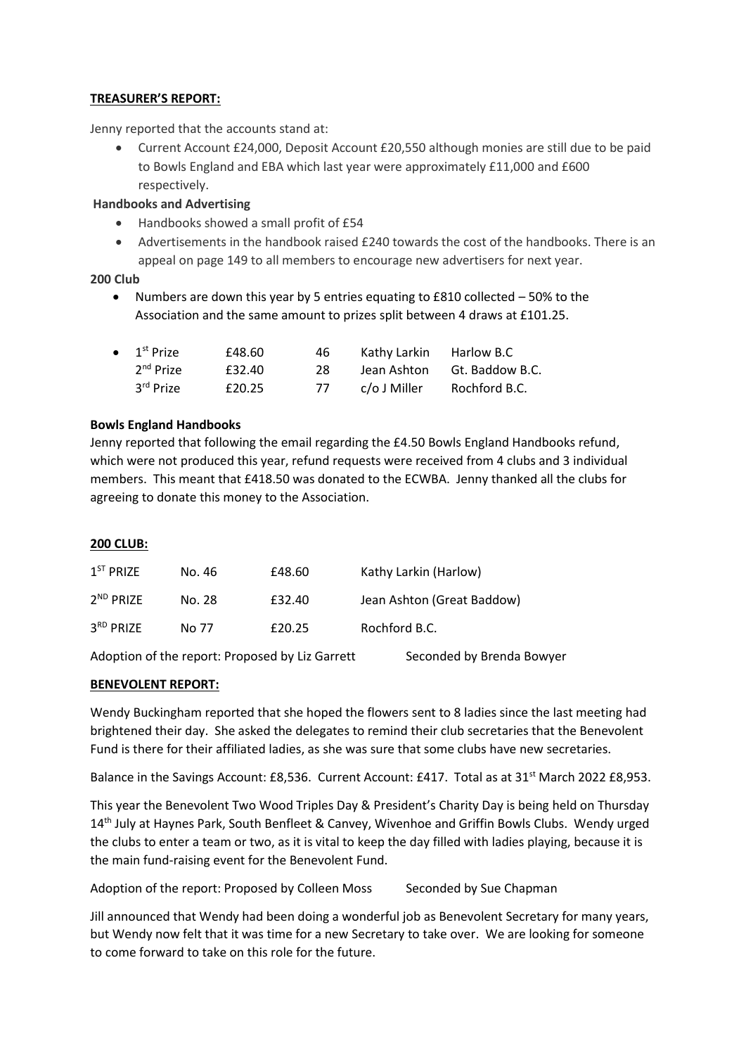## **TREASURER'S REPORT:**

Jenny reported that the accounts stand at:

 Current Account £24,000, Deposit Account £20,550 although monies are still due to be paid to Bowls England and EBA which last year were approximately £11,000 and £600 respectively.

### **Handbooks and Advertising**

- Handbooks showed a small profit of £54
- Advertisements in the handbook raised £240 towards the cost of the handbooks. There is an appeal on page 149 to all members to encourage new advertisers for next year.

## **200 Club**

• Numbers are down this year by 5 entries equating to  $E810$  collected  $-50\%$  to the Association and the same amount to prizes split between 4 draws at £101.25.

| $\bullet$ 1 <sup>st</sup> Prize | £48.60 | 46 | Kathy Larkin Harlow B.C |                 |
|---------------------------------|--------|----|-------------------------|-----------------|
| 2 <sup>nd</sup> Prize           | £32.40 | 28 | Jean Ashton             | Gt. Baddow B.C. |
| 3rd Prize                       | £20.25 | 77 | c/o J Miller            | Rochford B.C.   |

## **Bowls England Handbooks**

Jenny reported that following the email regarding the £4.50 Bowls England Handbooks refund, which were not produced this year, refund requests were received from 4 clubs and 3 individual members. This meant that £418.50 was donated to the ECWBA. Jenny thanked all the clubs for agreeing to donate this money to the Association.

#### **200 CLUB:**

| 1 <sup>ST</sup> PRIZE | No. 46 | £48.60 | Kathy Larkin (Harlow)      |
|-----------------------|--------|--------|----------------------------|
| $2^{ND}$ PRIZF        | No. 28 | £32.40 | Jean Ashton (Great Baddow) |
| $3RD$ PRIZE           | No 77  | £20.25 | Rochford B.C.              |

Adoption of the report: Proposed by Liz Garrett Seconded by Brenda Bowyer

## **BENEVOLENT REPORT:**

Wendy Buckingham reported that she hoped the flowers sent to 8 ladies since the last meeting had brightened their day. She asked the delegates to remind their club secretaries that the Benevolent Fund is there for their affiliated ladies, as she was sure that some clubs have new secretaries.

Balance in the Savings Account: £8,536. Current Account: £417. Total as at 31<sup>st</sup> March 2022 £8,953.

This year the Benevolent Two Wood Triples Day & President's Charity Day is being held on Thursday 14<sup>th</sup> July at Haynes Park, South Benfleet & Canvey, Wivenhoe and Griffin Bowls Clubs. Wendy urged the clubs to enter a team or two, as it is vital to keep the day filled with ladies playing, because it is the main fund-raising event for the Benevolent Fund.

Adoption of the report: Proposed by Colleen Moss Seconded by Sue Chapman

Jill announced that Wendy had been doing a wonderful job as Benevolent Secretary for many years, but Wendy now felt that it was time for a new Secretary to take over. We are looking for someone to come forward to take on this role for the future.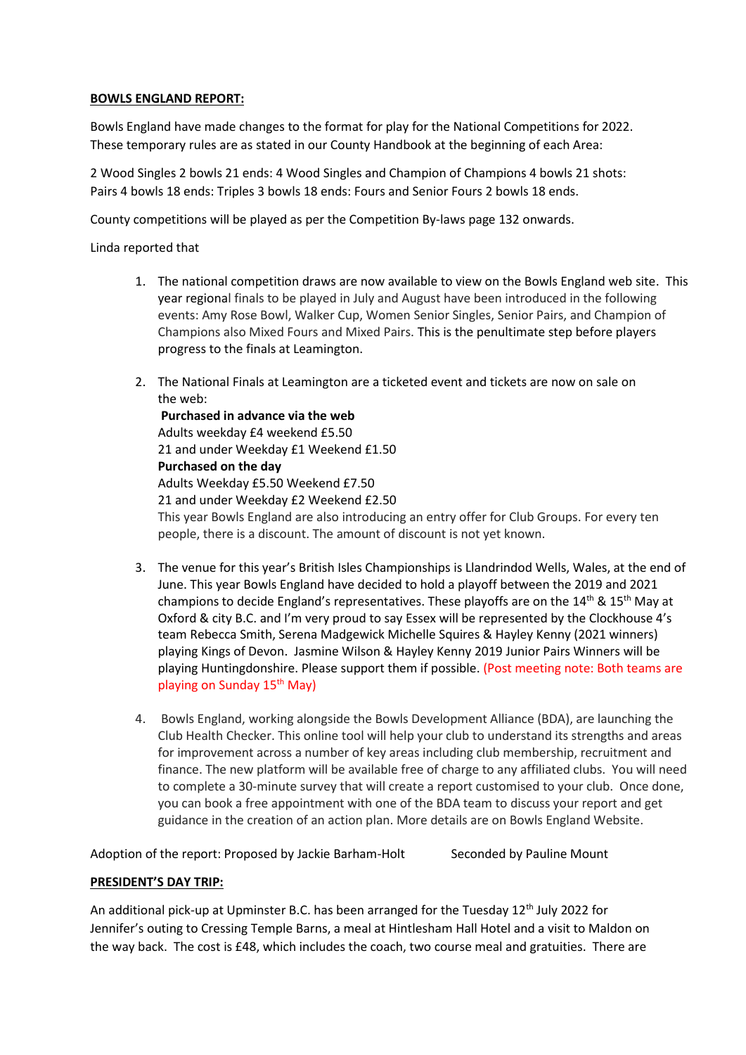## **BOWLS ENGLAND REPORT:**

Bowls England have made changes to the format for play for the National Competitions for 2022. These temporary rules are as stated in our County Handbook at the beginning of each Area:

2 Wood Singles 2 bowls 21 ends: 4 Wood Singles and Champion of Champions 4 bowls 21 shots: Pairs 4 bowls 18 ends: Triples 3 bowls 18 ends: Fours and Senior Fours 2 bowls 18 ends.

County competitions will be played as per the Competition By-laws page 132 onwards.

Linda reported that

- 1. The national competition draws are now available to view on the Bowls England web site. This year regional finals to be played in July and August have been introduced in the following events: Amy Rose Bowl, Walker Cup, Women Senior Singles, Senior Pairs, and Champion of Champions also Mixed Fours and Mixed Pairs. This is the penultimate step before players progress to the finals at Leamington.
- 2. The National Finals at Leamington are a ticketed event and tickets are now on sale on the web:

**Purchased in advance via the web** Adults weekday £4 weekend £5.50 21 and under Weekday £1 Weekend £1.50 **Purchased on the day**  Adults Weekday £5.50 Weekend £7.50 21 and under Weekday £2 Weekend £2.50 This year Bowls England are also introducing an entry offer for Club Groups. For every ten people, there is a discount. The amount of discount is not yet known.

- 3. The venue for this year's British Isles Championships is Llandrindod Wells, Wales, at the end of June. This year Bowls England have decided to hold a playoff between the 2019 and 2021 champions to decide England's representatives. These playoffs are on the  $14<sup>th</sup>$  &  $15<sup>th</sup>$  May at Oxford & city B.C. and I'm very proud to say Essex will be represented by the Clockhouse 4's team Rebecca Smith, Serena Madgewick Michelle Squires & Hayley Kenny (2021 winners) playing Kings of Devon. Jasmine Wilson & Hayley Kenny 2019 Junior Pairs Winners will be playing Huntingdonshire. Please support them if possible. (Post meeting note: Both teams are playing on Sunday 15<sup>th</sup> May)
- 4. Bowls England, working alongside the Bowls Development Alliance (BDA), are launching the Club Health Checker. This online tool will help your club to understand its strengths and areas for improvement across a number of key areas including club membership, recruitment and finance. The new platform will be available free of charge to any affiliated clubs. You will need to complete a 30-minute survey that will create a report customised to your club. Once done, you can book a free appointment with one of the BDA team to discuss your report and get guidance in the creation of an action plan. More details are on Bowls England Website.

Adoption of the report: Proposed by Jackie Barham-Holt Seconded by Pauline Mount

## **PRESIDENT'S DAY TRIP:**

An additional pick-up at Upminster B.C. has been arranged for the Tuesday 12<sup>th</sup> July 2022 for Jennifer's outing to Cressing Temple Barns, a meal at Hintlesham Hall Hotel and a visit to Maldon on the way back. The cost is £48, which includes the coach, two course meal and gratuities. There are